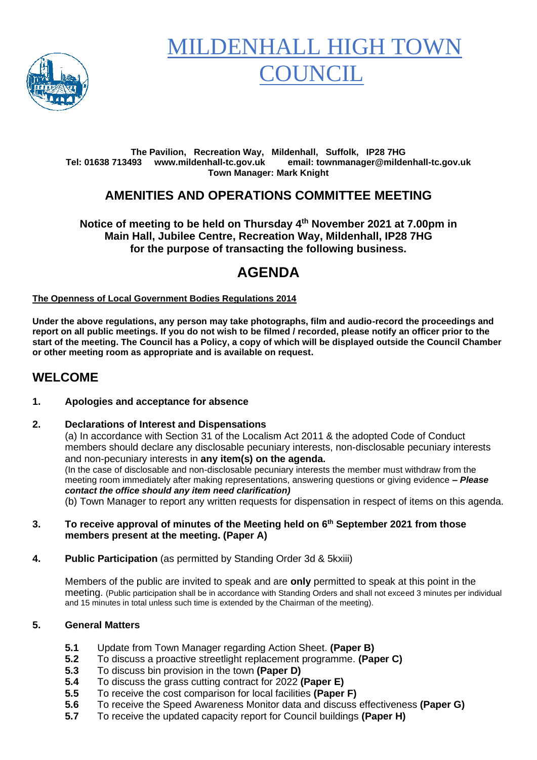

# **MILDENHALL HIGH TO OUNCIL**

#### **The Pavilion, Recreation Way, Mildenhall, Suffolk, IP28 7HG Tel: 01638 713493 www.mildenhall-tc.gov.uk email: townmanager@mildenhall-tc.gov.uk Town Manager: Mark Knight**

### **AMENITIES AND OPERATIONS COMMITTEE MEETING**

**Notice of meeting to be held on Thursday 4 th November 2021 at 7.00pm in Main Hall, Jubilee Centre, Recreation Way, Mildenhall, IP28 7HG for the purpose of transacting the following business.**

# **AGENDA**

#### **The Openness of Local Government Bodies Regulations 2014**

**Under the above regulations, any person may take photographs, film and audio-record the proceedings and report on all public meetings. If you do not wish to be filmed / recorded, please notify an officer prior to the start of the meeting. The Council has a Policy, a copy of which will be displayed outside the Council Chamber or other meeting room as appropriate and is available on request.**

### **WELCOME**

#### **1. Apologies and acceptance for absence**

#### **2. Declarations of Interest and Dispensations**

(a) In accordance with Section 31 of the Localism Act 2011 & the adopted Code of Conduct members should declare any disclosable pecuniary interests, non-disclosable pecuniary interests and non-pecuniary interests in **any item(s) on the agenda.** (In the case of disclosable and non-disclosable pecuniary interests the member must withdraw from the meeting room immediately after making representations, answering questions or giving evidence **–** *Please contact the office should any item need clarification)*

(b) Town Manager to report any written requests for dispensation in respect of items on this agenda.

- **3. To receive approval of minutes of the Meeting held on 6 th September 2021 from those members present at the meeting. (Paper A)**
- **4. Public Participation** (as permitted by Standing Order 3d & 5kxiii)

Members of the public are invited to speak and are **only** permitted to speak at this point in the meeting. (Public participation shall be in accordance with Standing Orders and shall not exceed 3 minutes per individual and 15 minutes in total unless such time is extended by the Chairman of the meeting).

#### **5. General Matters**

- **5.1** Update from Town Manager regarding Action Sheet. **(Paper B)**
- **5.2** To discuss a proactive streetlight replacement programme. **(Paper C)**
- **5.3** To discuss bin provision in the town **(Paper D)**
- **5.4** To discuss the grass cutting contract for 2022 **(Paper E)**
- **5.5** To receive the cost comparison for local facilities **(Paper F)**
- **5.6** To receive the Speed Awareness Monitor data and discuss effectiveness **(Paper G)**
- **5.7** To receive the updated capacity report for Council buildings **(Paper H)**